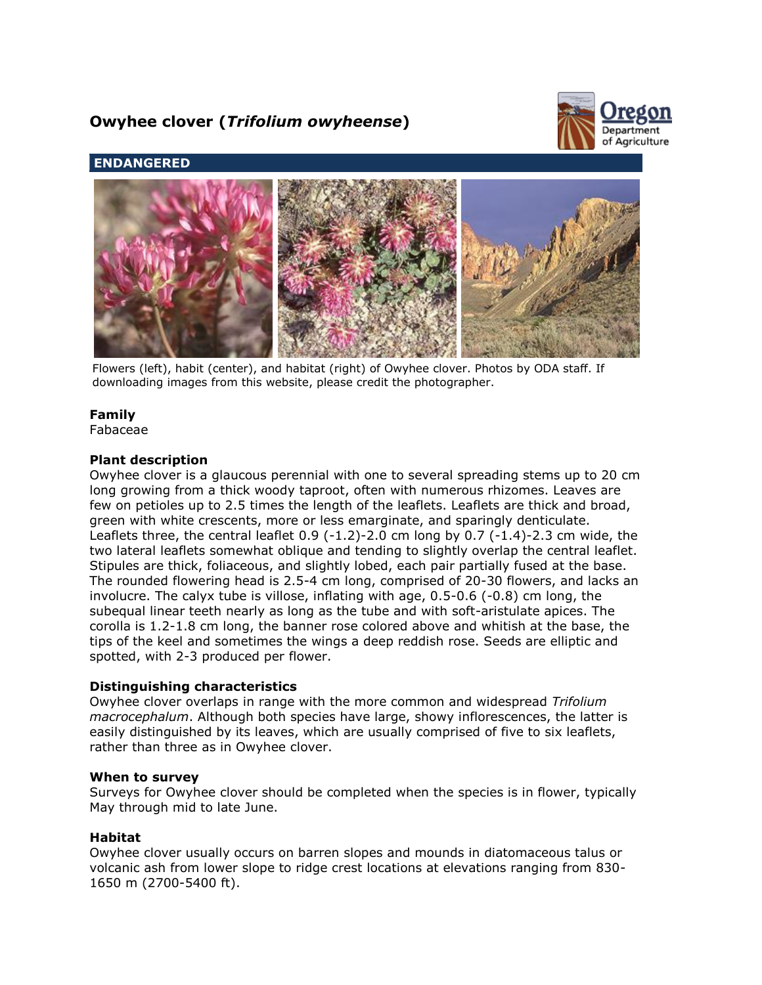# **Owyhee clover (***Trifolium owyheense***)**



# **ENDANGERED**



Flowers (left), habit (center), and habitat (right) of Owyhee clover. Photos by ODA staff. If downloading images from this website, please credit the photographer.

# **Family**

Fabaceae

#### **Plant description**

Owyhee clover is a glaucous perennial with one to several spreading stems up to 20 cm long growing from a thick woody taproot, often with numerous rhizomes. Leaves are few on petioles up to 2.5 times the length of the leaflets. Leaflets are thick and broad, green with white crescents, more or less emarginate, and sparingly denticulate. Leaflets three, the central leaflet  $0.9$  ( $-1.2$ ) $-2.0$  cm long by 0.7 ( $-1.4$ ) $-2.3$  cm wide, the two lateral leaflets somewhat oblique and tending to slightly overlap the central leaflet. Stipules are thick, foliaceous, and slightly lobed, each pair partially fused at the base. The rounded flowering head is 2.5-4 cm long, comprised of 20-30 flowers, and lacks an involucre. The calyx tube is villose, inflating with age, 0.5-0.6 (-0.8) cm long, the subequal linear teeth nearly as long as the tube and with soft-aristulate apices. The corolla is 1.2-1.8 cm long, the banner rose colored above and whitish at the base, the tips of the keel and sometimes the wings a deep reddish rose. Seeds are elliptic and spotted, with 2-3 produced per flower.

#### **Distinguishing characteristics**

Owyhee clover overlaps in range with the more common and widespread *Trifolium macrocephalum*. Although both species have large, showy inflorescences, the latter is easily distinguished by its leaves, which are usually comprised of five to six leaflets, rather than three as in Owyhee clover.

#### **When to survey**

Surveys for Owyhee clover should be completed when the species is in flower, typically May through mid to late June.

## **Habitat**

Owyhee clover usually occurs on barren slopes and mounds in diatomaceous talus or volcanic ash from lower slope to ridge crest locations at elevations ranging from 830- 1650 m (2700-5400 ft).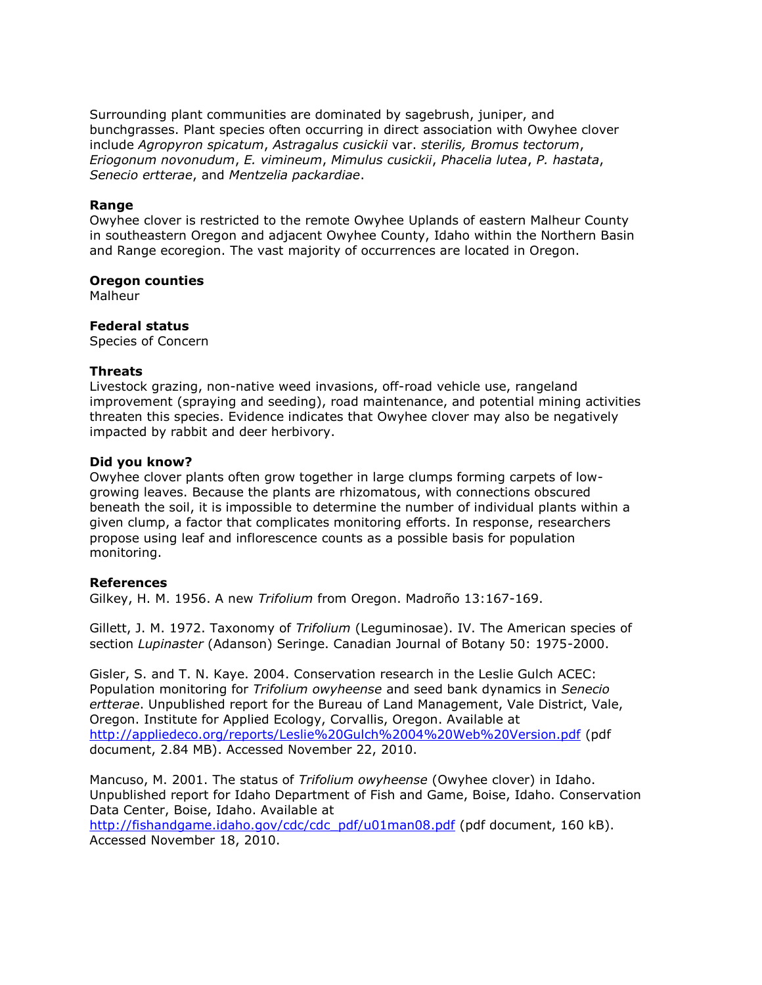Surrounding plant communities are dominated by sagebrush, juniper, and bunchgrasses. Plant species often occurring in direct association with Owyhee clover include *Agropyron spicatum*, *Astragalus cusickii* var. *sterilis, Bromus tectorum*, *Eriogonum novonudum*, *E. vimineum*, *Mimulus cusickii*, *Phacelia lutea*, *P. hastata*, *Senecio ertterae*, and *Mentzelia packardiae*.

#### **Range**

Owyhee clover is restricted to the remote Owyhee Uplands of eastern Malheur County in southeastern Oregon and adjacent Owyhee County, Idaho within the Northern Basin and Range ecoregion. The vast majority of occurrences are located in Oregon.

#### **Oregon counties**

Malheur

## **Federal status**

Species of Concern

#### **Threats**

Livestock grazing, non-native weed invasions, off-road vehicle use, rangeland improvement (spraying and seeding), road maintenance, and potential mining activities threaten this species. Evidence indicates that Owyhee clover may also be negatively impacted by rabbit and deer herbivory.

#### **Did you know?**

Owyhee clover plants often grow together in large clumps forming carpets of lowgrowing leaves. Because the plants are rhizomatous, with connections obscured beneath the soil, it is impossible to determine the number of individual plants within a given clump, a factor that complicates monitoring efforts. In response, researchers propose using leaf and inflorescence counts as a possible basis for population monitoring.

## **References**

Gilkey, H. M. 1956. A new *Trifolium* from Oregon. Madroño 13:167-169.

Gillett, J. M. 1972. Taxonomy of *Trifolium* (Leguminosae). IV. The American species of section *Lupinaster* (Adanson) Seringe. Canadian Journal of Botany 50: 1975-2000.

Gisler, S. and T. N. Kaye. 2004. Conservation research in the Leslie Gulch ACEC: Population monitoring for *Trifolium owyheense* and seed bank dynamics in *Senecio ertterae*. Unpublished report for the Bureau of Land Management, Vale District, Vale, Oregon. Institute for Applied Ecology, Corvallis, Oregon. Available at <http://appliedeco.org/reports/Leslie%20Gulch%2004%20Web%20Version.pdf> (pdf document, 2.84 MB). Accessed November 22, 2010.

Mancuso, M. 2001. The status of *Trifolium owyheense* (Owyhee clover) in Idaho. Unpublished report for Idaho Department of Fish and Game, Boise, Idaho. Conservation Data Center, Boise, Idaho. Available at

[http://fishandgame.idaho.gov/cdc/cdc\\_pdf/u01man08.pdf](http://fishandgame.idaho.gov/cdc/cdc_pdf/u01man08.pdf) (pdf document, 160 kB). Accessed November 18, 2010.